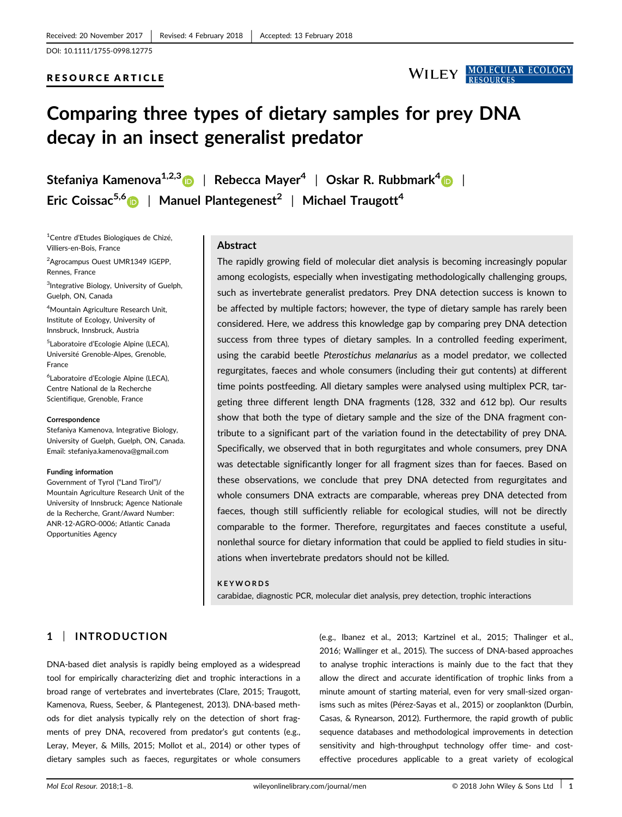DOI: 10.1111/1755-0998.12775

# RESOURCE ARTICLE

#### **MOLECULAR ECOLOGY WILEY**

# Comparing three types of dietary samples for prey DNA decay in an insect generalist predator

Stefaniya Kamenova<sup>1,2,3</sup> | Rebecca Mayer<sup>4</sup> | Oskar R. Rubbmark<sup>4</sup> | | Eric Coissac<sup>5,6</sup> | Manuel Plantegenest<sup>2</sup> | Michael Traugott<sup>4</sup>

<sup>1</sup>Centre d'Etudes Biologiques de Chizé, Villiers-en-Bois, France

<sup>2</sup>Agrocampus Ouest UMR1349 IGEPP, Rennes, France

<sup>3</sup>Integrative Biology, University of Guelph, Guelph, ON, Canada

4 Mountain Agriculture Research Unit, Institute of Ecology, University of Innsbruck, Innsbruck, Austria

<sup>5</sup>Laboratoire d'Ecologie Alpine (LECA), Universite Grenoble-Alpes, Grenoble, France

6 Laboratoire d'Ecologie Alpine (LECA), Centre National de la Recherche Scientifique, Grenoble, France

#### **Correspondence**

Stefaniya Kamenova, Integrative Biology, University of Guelph, Guelph, ON, Canada. Email: stefaniya.kamenova@gmail.com

#### Funding information

Government of Tyrol ("Land Tirol")/ Mountain Agriculture Research Unit of the University of Innsbruck; Agence Nationale de la Recherche, Grant/Award Number: ANR-12-AGRO-0006; Atlantic Canada Opportunities Agency

# Abstract

The rapidly growing field of molecular diet analysis is becoming increasingly popular among ecologists, especially when investigating methodologically challenging groups, such as invertebrate generalist predators. Prey DNA detection success is known to be affected by multiple factors; however, the type of dietary sample has rarely been considered. Here, we address this knowledge gap by comparing prey DNA detection success from three types of dietary samples. In a controlled feeding experiment, using the carabid beetle Pterostichus melanarius as a model predator, we collected regurgitates, faeces and whole consumers (including their gut contents) at different time points postfeeding. All dietary samples were analysed using multiplex PCR, targeting three different length DNA fragments (128, 332 and 612 bp). Our results show that both the type of dietary sample and the size of the DNA fragment contribute to a significant part of the variation found in the detectability of prey DNA. Specifically, we observed that in both regurgitates and whole consumers, prey DNA was detectable significantly longer for all fragment sizes than for faeces. Based on these observations, we conclude that prey DNA detected from regurgitates and whole consumers DNA extracts are comparable, whereas prey DNA detected from faeces, though still sufficiently reliable for ecological studies, will not be directly comparable to the former. Therefore, regurgitates and faeces constitute a useful, nonlethal source for dietary information that could be applied to field studies in situations when invertebrate predators should not be killed.

#### **KEYWORDS**

carabidae, diagnostic PCR, molecular diet analysis, prey detection, trophic interactions

# 1 | INTRODUCTION

DNA-based diet analysis is rapidly being employed as a widespread tool for empirically characterizing diet and trophic interactions in a broad range of vertebrates and invertebrates (Clare, 2015; Traugott, Kamenova, Ruess, Seeber, & Plantegenest, 2013). DNA-based methods for diet analysis typically rely on the detection of short fragments of prey DNA, recovered from predator's gut contents (e.g., Leray, Meyer, & Mills, 2015; Mollot et al., 2014) or other types of dietary samples such as faeces, regurgitates or whole consumers

(e.g., Ibanez et al., 2013; Kartzinel et al., 2015; Thalinger et al., 2016; Wallinger et al., 2015). The success of DNA-based approaches to analyse trophic interactions is mainly due to the fact that they allow the direct and accurate identification of trophic links from a minute amount of starting material, even for very small-sized organisms such as mites (Pérez-Sayas et al., 2015) or zooplankton (Durbin, Casas, & Rynearson, 2012). Furthermore, the rapid growth of public sequence databases and methodological improvements in detection sensitivity and high-throughput technology offer time- and costeffective procedures applicable to a great variety of ecological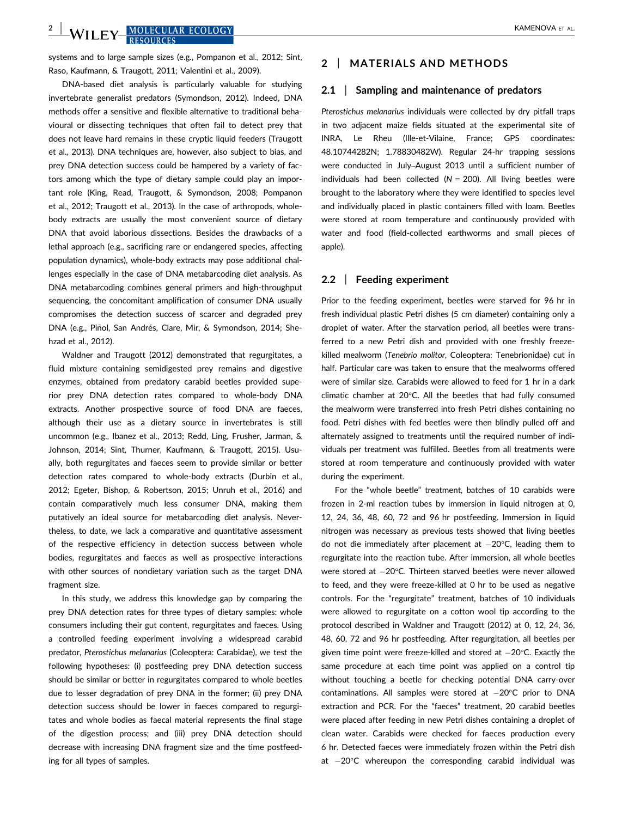WII FV—<mark>MOLECULAR ECOLOGY</mark> NAMENOVA ET AL.

systems and to large sample sizes (e.g., Pompanon et al., 2012; Sint, Raso, Kaufmann, & Traugott, 2011; Valentini et al., 2009).

DNA-based diet analysis is particularly valuable for studying invertebrate generalist predators (Symondson, 2012). Indeed, DNA methods offer a sensitive and flexible alternative to traditional behavioural or dissecting techniques that often fail to detect prey that does not leave hard remains in these cryptic liquid feeders (Traugott et al., 2013). DNA techniques are, however, also subject to bias, and prey DNA detection success could be hampered by a variety of factors among which the type of dietary sample could play an important role (King, Read, Traugott, & Symondson, 2008; Pompanon et al., 2012; Traugott et al., 2013). In the case of arthropods, wholebody extracts are usually the most convenient source of dietary DNA that avoid laborious dissections. Besides the drawbacks of a lethal approach (e.g., sacrificing rare or endangered species, affecting population dynamics), whole-body extracts may pose additional challenges especially in the case of DNA metabarcoding diet analysis. As DNA metabarcoding combines general primers and high-throughput sequencing, the concomitant amplification of consumer DNA usually compromises the detection success of scarcer and degraded prey DNA (e.g., Piñol, San Andrés, Clare, Mir, & Symondson, 2014; Shehzad et al., 2012).

Waldner and Traugott (2012) demonstrated that regurgitates, a fluid mixture containing semidigested prey remains and digestive enzymes, obtained from predatory carabid beetles provided superior prey DNA detection rates compared to whole-body DNA extracts. Another prospective source of food DNA are faeces, although their use as a dietary source in invertebrates is still uncommon (e.g., Ibanez et al., 2013; Redd, Ling, Frusher, Jarman, & Johnson, 2014; Sint, Thurner, Kaufmann, & Traugott, 2015). Usually, both regurgitates and faeces seem to provide similar or better detection rates compared to whole-body extracts (Durbin et al., 2012; Egeter, Bishop, & Robertson, 2015; Unruh et al., 2016) and contain comparatively much less consumer DNA, making them putatively an ideal source for metabarcoding diet analysis. Nevertheless, to date, we lack a comparative and quantitative assessment of the respective efficiency in detection success between whole bodies, regurgitates and faeces as well as prospective interactions with other sources of nondietary variation such as the target DNA fragment size.

In this study, we address this knowledge gap by comparing the prey DNA detection rates for three types of dietary samples: whole consumers including their gut content, regurgitates and faeces. Using a controlled feeding experiment involving a widespread carabid predator, Pterostichus melanarius (Coleoptera: Carabidae), we test the following hypotheses: (i) postfeeding prey DNA detection success should be similar or better in regurgitates compared to whole beetles due to lesser degradation of prey DNA in the former; (ii) prey DNA detection success should be lower in faeces compared to regurgitates and whole bodies as faecal material represents the final stage of the digestion process; and (iii) prey DNA detection should decrease with increasing DNA fragment size and the time postfeeding for all types of samples.

# 2 | MATERIALS AND METHODS

#### 2.1 Sampling and maintenance of predators

Pterostichus melanarius individuals were collected by dry pitfall traps in two adjacent maize fields situated at the experimental site of INRA, Le Rheu (Ille-et-Vilaine, France; GPS coordinates: 48.10744282N; 1.78830482W). Regular 24-hr trapping sessions were conducted in July–August 2013 until a sufficient number of individuals had been collected ( $N = 200$ ). All living beetles were brought to the laboratory where they were identified to species level and individually placed in plastic containers filled with loam. Beetles were stored at room temperature and continuously provided with water and food (field-collected earthworms and small pieces of apple).

### 2.2 | Feeding experiment

Prior to the feeding experiment, beetles were starved for 96 hr in fresh individual plastic Petri dishes (5 cm diameter) containing only a droplet of water. After the starvation period, all beetles were transferred to a new Petri dish and provided with one freshly freezekilled mealworm (Tenebrio molitor, Coleoptera: Tenebrionidae) cut in half. Particular care was taken to ensure that the mealworms offered were of similar size. Carabids were allowed to feed for 1 hr in a dark climatic chamber at 20°C. All the beetles that had fully consumed the mealworm were transferred into fresh Petri dishes containing no food. Petri dishes with fed beetles were then blindly pulled off and alternately assigned to treatments until the required number of individuals per treatment was fulfilled. Beetles from all treatments were stored at room temperature and continuously provided with water during the experiment.

For the "whole beetle" treatment, batches of 10 carabids were frozen in 2-ml reaction tubes by immersion in liquid nitrogen at 0, 12, 24, 36, 48, 60, 72 and 96 hr postfeeding. Immersion in liquid nitrogen was necessary as previous tests showed that living beetles do not die immediately after placement at  $-20^{\circ}$ C, leading them to regurgitate into the reaction tube. After immersion, all whole beetles were stored at -20°C. Thirteen starved beetles were never allowed to feed, and they were freeze-killed at 0 hr to be used as negative controls. For the "regurgitate" treatment, batches of 10 individuals were allowed to regurgitate on a cotton wool tip according to the protocol described in Waldner and Traugott (2012) at 0, 12, 24, 36, 48, 60, 72 and 96 hr postfeeding. After regurgitation, all beetles per given time point were freeze-killed and stored at  $-20^{\circ}$ C. Exactly the same procedure at each time point was applied on a control tip without touching a beetle for checking potential DNA carry-over contaminations. All samples were stored at  $-20^{\circ}$ C prior to DNA extraction and PCR. For the "faeces" treatment, 20 carabid beetles were placed after feeding in new Petri dishes containing a droplet of clean water. Carabids were checked for faeces production every 6 hr. Detected faeces were immediately frozen within the Petri dish at  $-20^{\circ}$ C whereupon the corresponding carabid individual was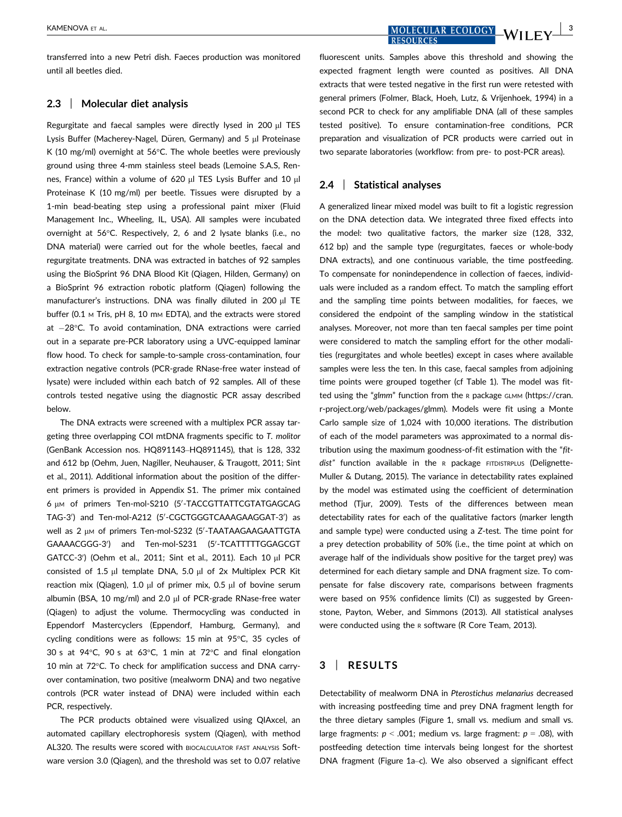$\texttt{KAMENOVA}$  et al.  $\texttt{MOLECULAR ECOLOGY}$   $\texttt{MALT EVA}$ 

transferred into a new Petri dish. Faeces production was monitored until all beetles died.

# 2.3 | Molecular diet analysis

Regurgitate and faecal samples were directly lysed in 200  $\mu$ l TES Lysis Buffer (Macherey-Nagel, Düren, Germany) and 5 µl Proteinase K (10 mg/ml) overnight at 56°C. The whole beetles were previously ground using three 4-mm stainless steel beads (Lemoine S.A.S, Rennes, France) within a volume of 620 µl TES Lysis Buffer and 10 µl Proteinase K (10 mg/ml) per beetle. Tissues were disrupted by a 1-min bead-beating step using a professional paint mixer (Fluid Management Inc., Wheeling, IL, USA). All samples were incubated overnight at 56°C. Respectively, 2, 6 and 2 lysate blanks (i.e., no DNA material) were carried out for the whole beetles, faecal and regurgitate treatments. DNA was extracted in batches of 92 samples using the BioSprint 96 DNA Blood Kit (Qiagen, Hilden, Germany) on a BioSprint 96 extraction robotic platform (Qiagen) following the manufacturer's instructions. DNA was finally diluted in 200 µl TE buffer (0.1 M Tris, pH 8, 10 mM EDTA), and the extracts were stored at 28°C. To avoid contamination, DNA extractions were carried out in a separate pre-PCR laboratory using a UVC-equipped laminar flow hood. To check for sample-to-sample cross-contamination, four extraction negative controls (PCR-grade RNase-free water instead of lysate) were included within each batch of 92 samples. All of these controls tested negative using the diagnostic PCR assay described below.

The DNA extracts were screened with a multiplex PCR assay targeting three overlapping COI mtDNA fragments specific to T. molitor (GenBank Accession nos. [HQ891143](http://www.ncbi.nlm.nih.gov/nuccore/HQ891143)–[HQ891145](http://www.ncbi.nlm.nih.gov/nuccore/HQ891145)), that is 128, 332 and 612 bp (Oehm, Juen, Nagiller, Neuhauser, & Traugott, 2011; Sint et al., 2011). Additional information about the position of the different primers is provided in Appendix S1. The primer mix contained 6 µм of primers Ten-mol-S210 (5'-TACCGTTATTCGTATGAGCAG TAG-3') and Ten-mol-A212 (5'-CGCTGGGTCAAAGAAGGAT-3') as well as 2 μm of primers Ten-mol-S232 (5'-TAATAAGAAGAATTGTA GAAAACGGG-3') and Ten-mol-S231 (5'-TCATTTTTGGAGCGT GATCC-3′) (Oehm et al., 2011; Sint et al., 2011). Each 10 μl PCR consisted of 1.5  $\mu$ l template DNA, 5.0  $\mu$ l of 2x Multiplex PCR Kit reaction mix (Qiagen), 1.0  $\mu$ l of primer mix, 0.5  $\mu$ l of bovine serum albumin (BSA, 10 mg/ml) and 2.0  $\mu$ l of PCR-grade RNase-free water (Qiagen) to adjust the volume. Thermocycling was conducted in Eppendorf Mastercyclers (Eppendorf, Hamburg, Germany), and cycling conditions were as follows: 15 min at 95°C, 35 cycles of 30 s at 94°C, 90 s at 63°C, 1 min at 72°C and final elongation 10 min at 72°C. To check for amplification success and DNA carryover contamination, two positive (mealworm DNA) and two negative controls (PCR water instead of DNA) were included within each PCR, respectively.

The PCR products obtained were visualized using QIAxcel, an automated capillary electrophoresis system (Qiagen), with method AL320. The results were scored with BIOCALCULATOR FAST ANALYSIS Software version 3.0 (Qiagen), and the threshold was set to 0.07 relative fluorescent units. Samples above this threshold and showing the expected fragment length were counted as positives. All DNA extracts that were tested negative in the first run were retested with general primers (Folmer, Black, Hoeh, Lutz, & Vrijenhoek, 1994) in a second PCR to check for any amplifiable DNA (all of these samples tested positive). To ensure contamination-free conditions, PCR preparation and visualization of PCR products were carried out in two separate laboratories (workflow: from pre- to post-PCR areas).

#### 2.4 | Statistical analyses

A generalized linear mixed model was built to fit a logistic regression on the DNA detection data. We integrated three fixed effects into the model: two qualitative factors, the marker size (128, 332, 612 bp) and the sample type (regurgitates, faeces or whole-body DNA extracts), and one continuous variable, the time postfeeding. To compensate for nonindependence in collection of faeces, individuals were included as a random effect. To match the sampling effort and the sampling time points between modalities, for faeces, we considered the endpoint of the sampling window in the statistical analyses. Moreover, not more than ten faecal samples per time point were considered to match the sampling effort for the other modalities (regurgitates and whole beetles) except in cases where available samples were less the ten. In this case, faecal samples from adjoining time points were grouped together (cf Table 1). The model was fitted using the "glmm" function from the <sup>R</sup> package GLMM [\(https://cran.](https://cran.r-project.org/web/packages/glmm) [r-project.org/web/packages/glmm\)](https://cran.r-project.org/web/packages/glmm). Models were fit using a Monte Carlo sample size of 1,024 with 10,000 iterations. The distribution of each of the model parameters was approximated to a normal distribution using the maximum goodness-of-fit estimation with the "fitdist" function available in the R package FITDISTRPLUS (Delignette-Muller & Dutang, 2015). The variance in detectability rates explained by the model was estimated using the coefficient of determination method (Tjur, 2009). Tests of the differences between mean detectability rates for each of the qualitative factors (marker length and sample type) were conducted using a Z-test. The time point for a prey detection probability of 50% (i.e., the time point at which on average half of the individuals show positive for the target prey) was determined for each dietary sample and DNA fragment size. To compensate for false discovery rate, comparisons between fragments were based on 95% confidence limits (CI) as suggested by Greenstone, Payton, Weber, and Simmons (2013). All statistical analyses were conducted using the <sup>R</sup> software (R Core Team, 2013).

# 3 | RESULTS

Detectability of mealworm DNA in Pterostichus melanarius decreased with increasing postfeeding time and prey DNA fragment length for the three dietary samples (Figure 1, small vs. medium and small vs. large fragments:  $p < .001$ ; medium vs. large fragment:  $p = .08$ ), with postfeeding detection time intervals being longest for the shortest DNA fragment (Figure 1a–c). We also observed a significant effect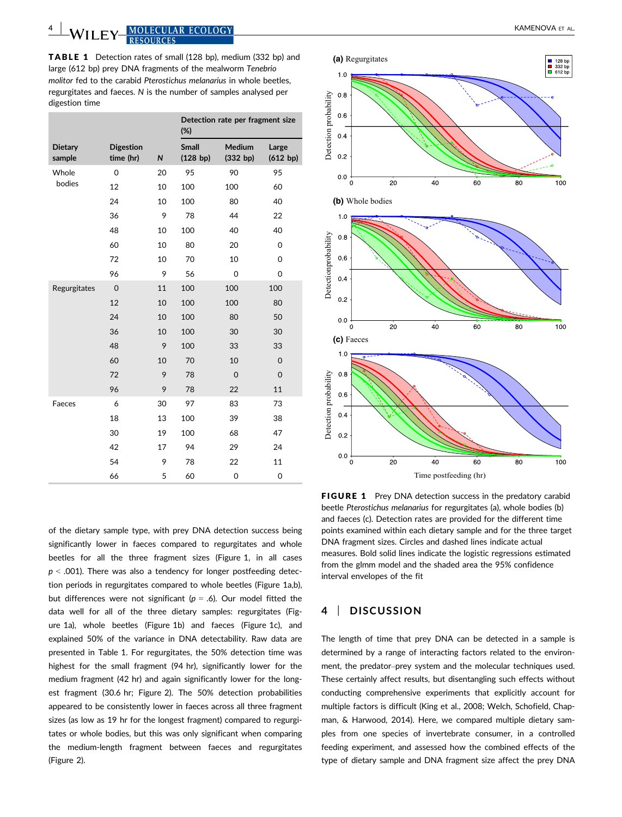TABLE 1 Detection rates of small (128 bp), medium (332 bp) and large (612 bp) prey DNA fragments of the mealworm Tenebrio molitor fed to the carabid Pterostichus melanarius in whole beetles, regurgitates and faeces. N is the number of samples analysed per digestion time

|                          |                               |    | Detection rate per fragment size<br>$(\%)$ |                           |                   |
|--------------------------|-------------------------------|----|--------------------------------------------|---------------------------|-------------------|
| <b>Dietary</b><br>sample | <b>Digestion</b><br>time (hr) | N  | <b>Small</b><br>(128 bp)                   | <b>Medium</b><br>(332 bp) | Large<br>(612 bp) |
| Whole<br>bodies          | 0                             | 20 | 95                                         | 90                        | 95                |
|                          | 12                            | 10 | 100                                        | 100                       | 60                |
|                          | 24                            | 10 | 100                                        | 80                        | 40                |
|                          | 36                            | 9  | 78                                         | 44                        | 22                |
|                          | 48                            | 10 | 100                                        | 40                        | 40                |
|                          | 60                            | 10 | 80                                         | 20                        | $\Omega$          |
|                          | 72                            | 10 | 70                                         | 10                        | $\Omega$          |
|                          | 96                            | 9  | 56                                         | 0                         | 0                 |
| Regurgitates             | $\overline{0}$                | 11 | 100                                        | 100                       | 100               |
|                          | 12                            | 10 | 100                                        | 100                       | 80                |
|                          | 24                            | 10 | 100                                        | 80                        | 50                |
|                          | 36                            | 10 | 100                                        | 30                        | 30                |
|                          | 48                            | 9  | 100                                        | 33                        | 33                |
|                          | 60                            | 10 | 70                                         | 10                        | $\mathbf 0$       |
|                          | 72                            | 9  | 78                                         | 0                         | $\mathbf 0$       |
|                          | 96                            | 9  | 78                                         | 22                        | 11                |
| Faeces                   | 6                             | 30 | 97                                         | 83                        | 73                |
|                          | 18                            | 13 | 100                                        | 39                        | 38                |
|                          | 30                            | 19 | 100                                        | 68                        | 47                |
|                          | 42                            | 17 | 94                                         | 29                        | 24                |
|                          | 54                            | 9  | 78                                         | 22                        | 11                |
|                          | 66                            | 5  | 60                                         | 0                         | 0                 |

of the dietary sample type, with prey DNA detection success being significantly lower in faeces compared to regurgitates and whole beetles for all the three fragment sizes (Figure 1, in all cases  $p < .001$ ). There was also a tendency for longer postfeeding detection periods in regurgitates compared to whole beetles (Figure 1a,b), but differences were not significant ( $p = .6$ ). Our model fitted the data well for all of the three dietary samples: regurgitates (Figure 1a), whole beetles (Figure 1b) and faeces (Figure 1c), and explained 50% of the variance in DNA detectability. Raw data are presented in Table 1. For regurgitates, the 50% detection time was highest for the small fragment (94 hr), significantly lower for the medium fragment (42 hr) and again significantly lower for the longest fragment (30.6 hr; Figure 2). The 50% detection probabilities appeared to be consistently lower in faeces across all three fragment sizes (as low as 19 hr for the longest fragment) compared to regurgitates or whole bodies, but this was only significant when comparing the medium-length fragment between faeces and regurgitates (Figure 2).



FIGURE 1 Prey DNA detection success in the predatory carabid beetle Pterostichus melanarius for regurgitates (a), whole bodies (b) and faeces (c). Detection rates are provided for the different time points examined within each dietary sample and for the three target DNA fragment sizes. Circles and dashed lines indicate actual measures. Bold solid lines indicate the logistic regressions estimated from the glmm model and the shaded area the 95% confidence interval envelopes of the fit

# 4 | DISCUSSION

The length of time that prey DNA can be detected in a sample is determined by a range of interacting factors related to the environment, the predator–prey system and the molecular techniques used. These certainly affect results, but disentangling such effects without conducting comprehensive experiments that explicitly account for multiple factors is difficult (King et al., 2008; Welch, Schofield, Chapman, & Harwood, 2014). Here, we compared multiple dietary samples from one species of invertebrate consumer, in a controlled feeding experiment, and assessed how the combined effects of the type of dietary sample and DNA fragment size affect the prey DNA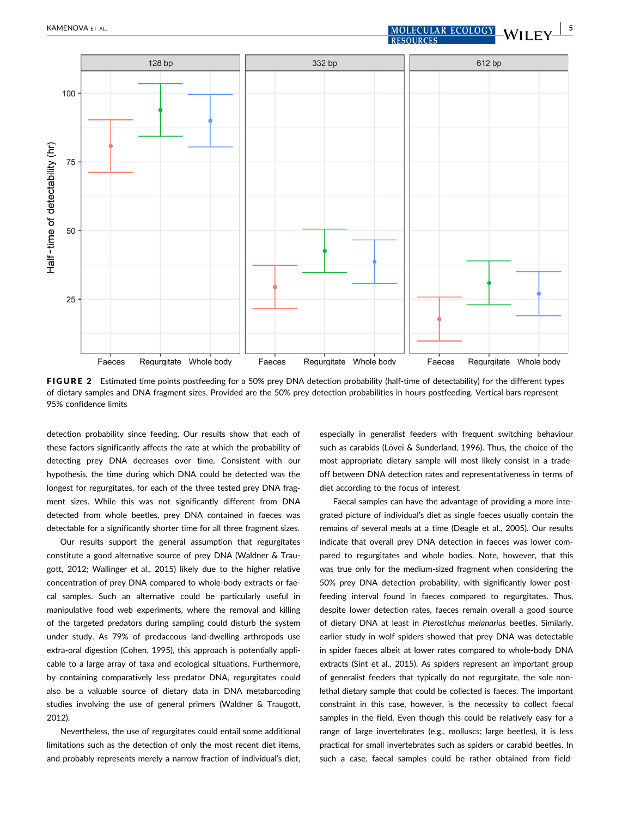

FIGURE 2 Estimated time points postfeeding for a 50% prey DNA detection probability (half-time of detectability) for the different types of dietary samples and DNA fragment sizes. Provided are the 50% prey detection probabilities in hours postfeeding. Vertical bars represent 95% confidence limits

detection probability since feeding. Our results show that each of these factors significantly affects the rate at which the probability of detecting prey DNA decreases over time. Consistent with our hypothesis, the time during which DNA could be detected was the longest for regurgitates, for each of the three tested prey DNA fragment sizes. While this was not significantly different from DNA detected from whole beetles, prey DNA contained in faeces was detectable for a significantly shorter time for all three fragment sizes.

Our results support the general assumption that regurgitates constitute a good alternative source of prey DNA (Waldner & Traugott, 2012; Wallinger et al., 2015) likely due to the higher relative concentration of prey DNA compared to whole-body extracts or faecal samples. Such an alternative could be particularly useful in manipulative food web experiments, where the removal and killing of the targeted predators during sampling could disturb the system under study. As 79% of predaceous land-dwelling arthropods use extra-oral digestion (Cohen, 1995), this approach is potentially applicable to a large array of taxa and ecological situations. Furthermore, by containing comparatively less predator DNA, regurgitates could also be a valuable source of dietary data in DNA metabarcoding studies involving the use of general primers (Waldner & Traugott, 2012).

Nevertheless, the use of regurgitates could entail some additional limitations such as the detection of only the most recent diet items, and probably represents merely a narrow fraction of individual's diet, especially in generalist feeders with frequent switching behaviour such as carabids (Lövei & Sunderland, 1996). Thus, the choice of the most appropriate dietary sample will most likely consist in a tradeoff between DNA detection rates and representativeness in terms of diet according to the focus of interest.

Faecal samples can have the advantage of providing a more integrated picture of individual's diet as single faeces usually contain the remains of several meals at a time (Deagle et al., 2005). Our results indicate that overall prey DNA detection in faeces was lower compared to regurgitates and whole bodies. Note, however, that this was true only for the medium-sized fragment when considering the 50% prey DNA detection probability, with significantly lower postfeeding interval found in faeces compared to regurgitates. Thus, despite lower detection rates, faeces remain overall a good source of dietary DNA at least in Pterostichus melanarius beetles. Similarly, earlier study in wolf spiders showed that prey DNA was detectable in spider faeces albeit at lower rates compared to whole-body DNA extracts (Sint et al., 2015). As spiders represent an important group of generalist feeders that typically do not regurgitate, the sole nonlethal dietary sample that could be collected is faeces. The important constraint in this case, however, is the necessity to collect faecal samples in the field. Even though this could be relatively easy for a range of large invertebrates (e.g., molluscs; large beetles), it is less practical for small invertebrates such as spiders or carabid beetles. In such a case, faecal samples could be rather obtained from field-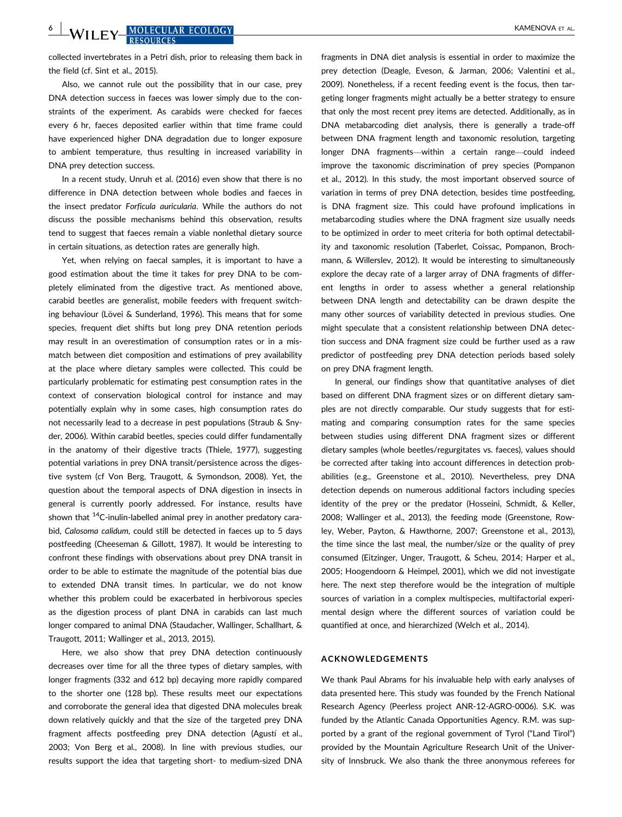WILEY MOLECULAR ECOLOGY **EXAMENOVA ET AL.** 

collected invertebrates in a Petri dish, prior to releasing them back in the field (cf. Sint et al., 2015).

Also, we cannot rule out the possibility that in our case, prey DNA detection success in faeces was lower simply due to the constraints of the experiment. As carabids were checked for faeces every 6 hr, faeces deposited earlier within that time frame could have experienced higher DNA degradation due to longer exposure to ambient temperature, thus resulting in increased variability in DNA prey detection success.

In a recent study, Unruh et al. (2016) even show that there is no difference in DNA detection between whole bodies and faeces in the insect predator Forficula auricularia. While the authors do not discuss the possible mechanisms behind this observation, results tend to suggest that faeces remain a viable nonlethal dietary source in certain situations, as detection rates are generally high.

Yet, when relying on faecal samples, it is important to have a good estimation about the time it takes for prey DNA to be completely eliminated from the digestive tract. As mentioned above, carabid beetles are generalist, mobile feeders with frequent switching behaviour (Lövei & Sunderland, 1996). This means that for some species, frequent diet shifts but long prey DNA retention periods may result in an overestimation of consumption rates or in a mismatch between diet composition and estimations of prey availability at the place where dietary samples were collected. This could be particularly problematic for estimating pest consumption rates in the context of conservation biological control for instance and may potentially explain why in some cases, high consumption rates do not necessarily lead to a decrease in pest populations (Straub & Snyder, 2006). Within carabid beetles, species could differ fundamentally in the anatomy of their digestive tracts (Thiele, 1977), suggesting potential variations in prey DNA transit/persistence across the digestive system (cf Von Berg, Traugott, & Symondson, 2008). Yet, the question about the temporal aspects of DNA digestion in insects in general is currently poorly addressed. For instance, results have shown that  $^{14}$ C-inulin-labelled animal prey in another predatory carabid, Calosoma calidum, could still be detected in faeces up to 5 days postfeeding (Cheeseman & Gillott, 1987). It would be interesting to confront these findings with observations about prey DNA transit in order to be able to estimate the magnitude of the potential bias due to extended DNA transit times. In particular, we do not know whether this problem could be exacerbated in herbivorous species as the digestion process of plant DNA in carabids can last much longer compared to animal DNA (Staudacher, Wallinger, Schallhart, & Traugott, 2011; Wallinger et al., 2013, 2015).

Here, we also show that prey DNA detection continuously decreases over time for all the three types of dietary samples, with longer fragments (332 and 612 bp) decaying more rapidly compared to the shorter one (128 bp). These results meet our expectations and corroborate the general idea that digested DNA molecules break down relatively quickly and that the size of the targeted prey DNA fragment affects postfeeding prey DNA detection (Agustí et al., 2003; Von Berg et al., 2008). In line with previous studies, our results support the idea that targeting short- to medium-sized DNA

fragments in DNA diet analysis is essential in order to maximize the prey detection (Deagle, Eveson, & Jarman, 2006; Valentini et al., 2009). Nonetheless, if a recent feeding event is the focus, then targeting longer fragments might actually be a better strategy to ensure that only the most recent prey items are detected. Additionally, as in DNA metabarcoding diet analysis, there is generally a trade-off between DNA fragment length and taxonomic resolution, targeting longer DNA fragments—within a certain range—could indeed improve the taxonomic discrimination of prey species (Pompanon et al., 2012). In this study, the most important observed source of variation in terms of prey DNA detection, besides time postfeeding, is DNA fragment size. This could have profound implications in metabarcoding studies where the DNA fragment size usually needs to be optimized in order to meet criteria for both optimal detectability and taxonomic resolution (Taberlet, Coissac, Pompanon, Brochmann, & Willerslev, 2012). It would be interesting to simultaneously explore the decay rate of a larger array of DNA fragments of different lengths in order to assess whether a general relationship between DNA length and detectability can be drawn despite the many other sources of variability detected in previous studies. One might speculate that a consistent relationship between DNA detection success and DNA fragment size could be further used as a raw predictor of postfeeding prey DNA detection periods based solely on prey DNA fragment length.

In general, our findings show that quantitative analyses of diet based on different DNA fragment sizes or on different dietary samples are not directly comparable. Our study suggests that for estimating and comparing consumption rates for the same species between studies using different DNA fragment sizes or different dietary samples (whole beetles/regurgitates vs. faeces), values should be corrected after taking into account differences in detection probabilities (e.g., Greenstone et al., 2010). Nevertheless, prey DNA detection depends on numerous additional factors including species identity of the prey or the predator (Hosseini, Schmidt, & Keller, 2008; Wallinger et al., 2013), the feeding mode (Greenstone, Rowley, Weber, Payton, & Hawthorne, 2007; Greenstone et al., 2013), the time since the last meal, the number/size or the quality of prey consumed (Eitzinger, Unger, Traugott, & Scheu, 2014; Harper et al., 2005; Hoogendoorn & Heimpel, 2001), which we did not investigate here. The next step therefore would be the integration of multiple sources of variation in a complex multispecies, multifactorial experimental design where the different sources of variation could be quantified at once, and hierarchized (Welch et al., 2014).

## ACKNOWLEDGEMENTS

We thank Paul Abrams for his invaluable help with early analyses of data presented here. This study was founded by the French National Research Agency (Peerless project ANR-12-AGRO-0006). S.K. was funded by the Atlantic Canada Opportunities Agency. R.M. was supported by a grant of the regional government of Tyrol ("Land Tirol") provided by the Mountain Agriculture Research Unit of the University of Innsbruck. We also thank the three anonymous referees for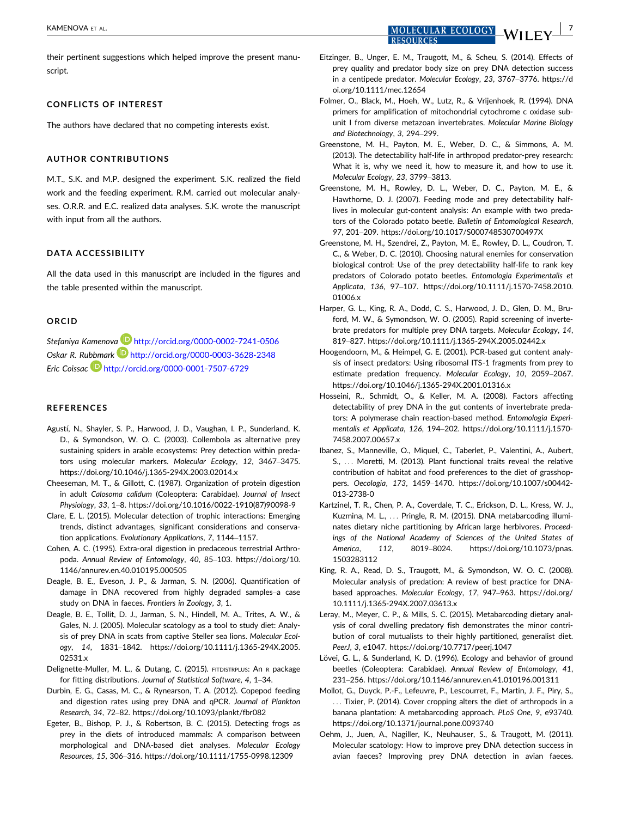their pertinent suggestions which helped improve the present manuscript.

#### CONFLICTS OF INTEREST

The authors have declared that no competing interests exist.

## AUTHOR CONTRIBUTIONS

M.T., S.K. and M.P. designed the experiment. S.K. realized the field work and the feeding experiment. R.M. carried out molecular analyses. O.R.R. and E.C. realized data analyses. S.K. wrote the manuscript with input from all the authors.

## DATA ACCESSIBILITY

All the data used in this manuscript are included in the figures and the table presented within the manuscript.

#### ORCID

Stefaniya Kamenova **http://orcid.org/0000-0002-7241-0506** Oskar R. Rubbmark **b** http://orcid.org/0000-0003-3628-2348 Eric Coissac **http://orcid.org/0000-0001-7507-6729** 

#### REFERENCES

- Agustí, N., Shayler, S. P., Harwood, J. D., Vaughan, I. P., Sunderland, K. D., & Symondson, W. O. C. (2003). Collembola as alternative prey sustaining spiders in arable ecosystems: Prey detection within predators using molecular markers. Molecular Ecology, 12, 3467–3475. <https://doi.org/10.1046/j.1365-294X.2003.02014.x>
- Cheeseman, M. T., & Gillott, C. (1987). Organization of protein digestion in adult Calosoma calidum (Coleoptera: Carabidae). Journal of Insect Physiology, 33, 1–8. [https://doi.org/10.1016/0022-1910\(87\)90098-9](https://doi.org/10.1016/0022-1910(87)90098-9)
- Clare, E. L. (2015). Molecular detection of trophic interactions: Emerging trends, distinct advantages, significant considerations and conservation applications. Evolutionary Applications, 7, 1144–1157.
- Cohen, A. C. (1995). Extra-oral digestion in predaceous terrestrial Arthropoda. Annual Review of Entomology, 40, 85–103. [https://doi.org/10.](https://doi.org/10.1146/annurev.en.40.010195.000505) [1146/annurev.en.40.010195.000505](https://doi.org/10.1146/annurev.en.40.010195.000505)
- Deagle, B. E., Eveson, J. P., & Jarman, S. N. (2006). Quantification of damage in DNA recovered from highly degraded samples–a case study on DNA in faeces. Frontiers in Zoology, 3, 1.
- Deagle, B. E., Tollit, D. J., Jarman, S. N., Hindell, M. A., Trites, A. W., & Gales, N. J. (2005). Molecular scatology as a tool to study diet: Analysis of prey DNA in scats from captive Steller sea lions. Molecular Ecology, 14, 1831–1842. [https://doi.org/10.1111/j.1365-294X.2005.](https://doi.org/10.1111/j.1365-294X.2005.02531.x) [02531.x](https://doi.org/10.1111/j.1365-294X.2005.02531.x)
- Delignette-Muller, M. L., & Dutang, C. (2015). FITDISTRPLUS: An <sup>R</sup> package for fitting distributions. Journal of Statistical Software, 4, 1–34.
- Durbin, E. G., Casas, M. C., & Rynearson, T. A. (2012). Copepod feeding and digestion rates using prey DNA and qPCR. Journal of Plankton Research, 34, 72–82.<https://doi.org/10.1093/plankt/fbr082>
- Egeter, B., Bishop, P. J., & Robertson, B. C. (2015). Detecting frogs as prey in the diets of introduced mammals: A comparison between morphological and DNA-based diet analyses. Molecular Ecology Resources, 15, 306–316.<https://doi.org/10.1111/1755-0998.12309>

 $\text{KAMENOVA}$  ET AL. **RESOURCES** 

- Eitzinger, B., Unger, E. M., Traugott, M., & Scheu, S. (2014). Effects of prey quality and predator body size on prey DNA detection success in a centipede predator. Molecular Ecology, 23, 3767–3776. [https://d](https://doi.org/10.1111/mec.12654) [oi.org/10.1111/mec.12654](https://doi.org/10.1111/mec.12654)
- Folmer, O., Black, M., Hoeh, W., Lutz, R., & Vrijenhoek, R. (1994). DNA primers for amplification of mitochondrial cytochrome c oxidase subunit I from diverse metazoan invertebrates. Molecular Marine Biology and Biotechnology, 3, 294–299.
- Greenstone, M. H., Payton, M. E., Weber, D. C., & Simmons, A. M. (2013). The detectability half-life in arthropod predator-prey research: What it is, why we need it, how to measure it, and how to use it. Molecular Ecology, 23, 3799–3813.
- Greenstone, M. H., Rowley, D. L., Weber, D. C., Payton, M. E., & Hawthorne, D. J. (2007). Feeding mode and prey detectability halflives in molecular gut-content analysis: An example with two predators of the Colorado potato beetle. Bulletin of Entomological Research, 97, 201–209.<https://doi.org/10.1017/S000748530700497X>
- Greenstone, M. H., Szendrei, Z., Payton, M. E., Rowley, D. L., Coudron, T. C., & Weber, D. C. (2010). Choosing natural enemies for conservation biological control: Use of the prey detectability half-life to rank key predators of Colorado potato beetles. Entomologia Experimentalis et Applicata, 136, 97–107. [https://doi.org/10.1111/j.1570-7458.2010.](https://doi.org/10.1111/j.1570-7458.2010.01006.x) [01006.x](https://doi.org/10.1111/j.1570-7458.2010.01006.x)
- Harper, G. L., King, R. A., Dodd, C. S., Harwood, J. D., Glen, D. M., Bruford, M. W., & Symondson, W. O. (2005). Rapid screening of invertebrate predators for multiple prey DNA targets. Molecular Ecology, 14, 819–827.<https://doi.org/10.1111/j.1365-294X.2005.02442.x>
- Hoogendoorn, M., & Heimpel, G. E. (2001). PCR-based gut content analysis of insect predators: Using ribosomal ITS-1 fragments from prey to estimate predation frequency. Molecular Ecology, 10, 2059–2067. <https://doi.org/10.1046/j.1365-294X.2001.01316.x>
- Hosseini, R., Schmidt, O., & Keller, M. A. (2008). Factors affecting detectability of prey DNA in the gut contents of invertebrate predators: A polymerase chain reaction-based method. Entomologia Experimentalis et Applicata, 126, 194–202. [https://doi.org/10.1111/j.1570-](https://doi.org/10.1111/j.1570-7458.2007.00657.x) [7458.2007.00657.x](https://doi.org/10.1111/j.1570-7458.2007.00657.x)
- Ibanez, S., Manneville, O., Miquel, C., Taberlet, P., Valentini, A., Aubert, S., ... Moretti, M. (2013). Plant functional traits reveal the relative contribution of habitat and food preferences to the diet of grasshoppers. Oecologia, 173, 1459–1470. [https://doi.org/10.1007/s00442-](https://doi.org/10.1007/s00442-013-2738-0) [013-2738-0](https://doi.org/10.1007/s00442-013-2738-0)
- Kartzinel, T. R., Chen, P. A., Coverdale, T. C., Erickson, D. L., Kress, W. J., Kuzmina, M. L., ... Pringle, R. M. (2015). DNA metabarcoding illuminates dietary niche partitioning by African large herbivores. Proceedings of the National Academy of Sciences of the United States of America, 112, 8019–8024. [https://doi.org/10.1073/pnas.](https://doi.org/10.1073/pnas.1503283112) [1503283112](https://doi.org/10.1073/pnas.1503283112)
- King, R. A., Read, D. S., Traugott, M., & Symondson, W. O. C. (2008). Molecular analysis of predation: A review of best practice for DNAbased approaches. Molecular Ecology, 17, 947–963. [https://doi.org/](https://doi.org/10.1111/j.1365-294X.2007.03613.x) [10.1111/j.1365-294X.2007.03613.x](https://doi.org/10.1111/j.1365-294X.2007.03613.x)
- Leray, M., Meyer, C. P., & Mills, S. C. (2015). Metabarcoding dietary analysis of coral dwelling predatory fish demonstrates the minor contribution of coral mutualists to their highly partitioned, generalist diet. PeerJ, 3, e1047.<https://doi.org/10.7717/peerj.1047>
- Lövei, G. L., & Sunderland, K. D. (1996). Ecology and behavior of ground beetles (Coleoptera: Carabidae). Annual Review of Entomology, 41, 231–256.<https://doi.org/10.1146/annurev.en.41.010196.001311>
- Mollot, G., Duyck, P.-F., Lefeuvre, P., Lescourret, F., Martin, J. F., Piry, S., ... Tixier, P. (2014). Cover cropping alters the diet of arthropods in a banana plantation: A metabarcoding approach. PLoS One, 9, e93740. <https://doi.org/10.1371/journal.pone.0093740>
- Oehm, J., Juen, A., Nagiller, K., Neuhauser, S., & Traugott, M. (2011). Molecular scatology: How to improve prey DNA detection success in avian faeces? Improving prey DNA detection in avian faeces.